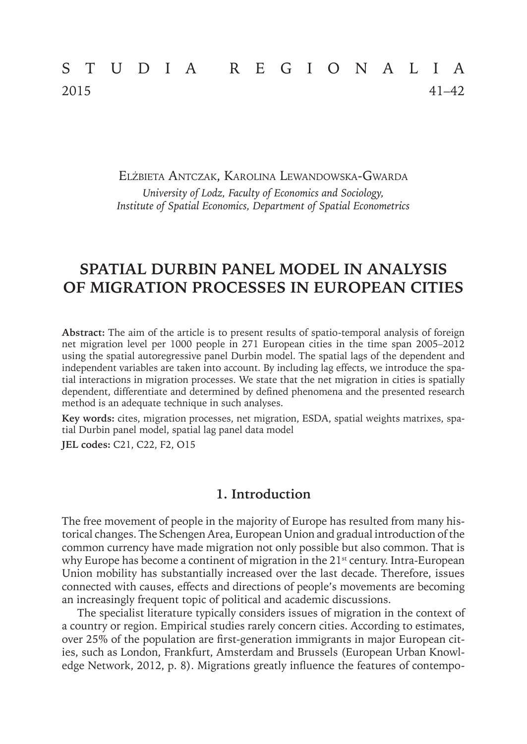# STUDIA REGIONALIA 2015 41–42

Elżbieta Antczak, Karolina Lewandowska-Gwarda *University of Lodz, Faculty of Economics and Sociology, Institute of Spatial Economics, Department of Spatial Econometrics*

## **SPATIAL DURBIN PANEL MODEL IN ANALYSIS OF MIGRATION PROCESSES IN EUROPEAN CITIES**

**Abstract:** The aim of the article is to present results of spatio-temporal analysis of foreign net migration level per 1000 people in 271 European cities in the time span 2005–2012 using the spatial autoregressive panel Durbin model. The spatial lags of the dependent and independent variables are taken into account. By including lag effects, we introduce the spatial interactions in migration processes. We state that the net migration in cities is spatially dependent, differentiate and determined by defined phenomena and the presented research method is an adequate technique in such analyses.

**Key words:** cites, migration processes, net migration, ESDA, spatial weights matrixes, spatial Durbin panel model, spatial lag panel data model

**JEL codes:** C21, C22, F2, O15

#### **1. Introduction**

The free movement of people in the majority of Europe has resulted from many historical changes. The Schengen Area, European Union and gradual introduction of the common currency have made migration not only possible but also common. That is why Europe has become a continent of migration in the  $21<sup>st</sup>$  century. Intra-European Union mobility has substantially increased over the last decade. Therefore, issues connected with causes, effects and directions of people's movements are becoming an increasingly frequent topic of political and academic discussions.

The specialist literature typically considers issues of migration in the context of a country or region. Empirical studies rarely concern cities. According to estimates, over 25% of the population are first-generation immigrants in major European cities, such as London, Frankfurt, Amsterdam and Brussels (European Urban Knowledge Network, 2012, p. 8). Migrations greatly influence the features of contempo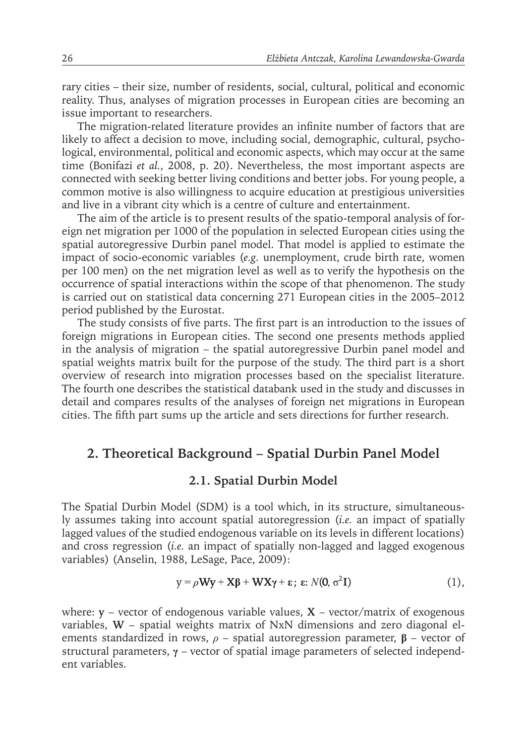rary cities – their size, number of residents, social, cultural, political and economic reality. Thus, analyses of migration processes in European cities are becoming an issue important to researchers.

The migration-related literature provides an infinite number of factors that are likely to affect a decision to move, including social, demographic, cultural, psychological, environmental, political and economic aspects, which may occur at the same time (Bonifazi *et al.*, 2008, p. 20). Nevertheless, the most important aspects are connected with seeking better living conditions and better jobs. For young people, a common motive is also willingness to acquire education at prestigious universities and live in a vibrant city which is a centre of culture and entertainment.

The aim of the article is to present results of the spatio-temporal analysis of foreign net migration per 1000 of the population in selected European cities using the spatial autoregressive Durbin panel model. That model is applied to estimate the impact of socio-economic variables (*e.g.* unemployment, crude birth rate, women per 100 men) on the net migration level as well as to verify the hypothesis on the occurrence of spatial interactions within the scope of that phenomenon. The study is carried out on statistical data concerning 271 European cities in the 2005–2012 period published by the Eurostat.

The study consists of five parts. The first part is an introduction to the issues of foreign migrations in European cities. The second one presents methods applied in the analysis of migration – the spatial autoregressive Durbin panel model and spatial weights matrix built for the purpose of the study. The third part is a short overview of research into migration processes based on the specialist literature. The fourth one describes the statistical databank used in the study and discusses in detail and compares results of the analyses of foreign net migrations in European cities. The fifth part sums up the article and sets directions for further research.

## **2. Theoretical Background – Spatial Durbin Panel Model**

#### **2.1. Spatial Durbin Model**

The Spatial Durbin Model (SDM) is a tool which, in its structure, simultaneously assumes taking into account spatial autoregression (*i.e.* an impact of spatially lagged values of the studied endogenous variable on its levels in different locations) and cross regression (*i.e.* an impact of spatially non-lagged and lagged exogenous variables) (Anselin, 1988, LeSage, Pace, 2009):

$$
y = \rho W y + X \beta + W X \gamma + \varepsilon; \ \varepsilon: N(0, \sigma^2 I) \tag{1},
$$

where:  $y$  – vector of endogenous variable values,  $X$  – vector/matrix of exogenous variables, **W** – spatial weights matrix of NxN dimensions and zero diagonal elements standardized in rows, *ρ* – spatial autoregression parameter, **β** – vector of structural parameters, **γ** – vector of spatial image parameters of selected independent variables.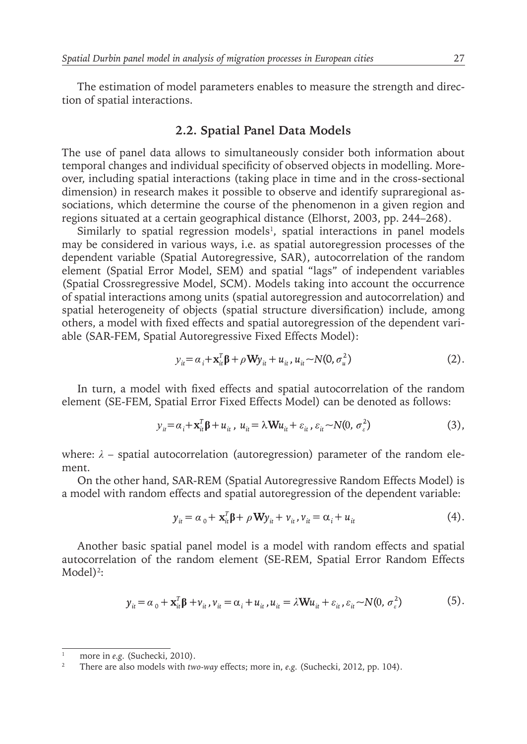The estimation of model parameters enables to measure the strength and direction of spatial interactions.

#### **2.2. Spatial Panel Data Models**

The use of panel data allows to simultaneously consider both information about temporal changes and individual specificity of observed objects in modelling. Moreover, including spatial interactions (taking place in time and in the cross-sectional dimension) in research makes it possible to observe and identify supraregional associations, which determine the course of the phenomenon in a given region and regions situated at a certain geographical distance (Elhorst, 2003, pp. 244–268).

Similarly to spatial regression models<sup>1</sup>, spatial interactions in panel models may be considered in various ways, i.e. as spatial autoregression processes of the dependent variable (Spatial Autoregressive, SAR), autocorrelation of the random element (Spatial Error Model, SEM) and spatial "lags" of independent variables (Spatial Crossregressive Model, SCM). Models taking into account the occurrence of spatial interactions among units (spatial autoregression and autocorrelation) and spatial heterogeneity of objects (spatial structure diversification) include, among others, a model with fixed effects and spatial autoregression of the dependent variable (SAR-FEM, Spatial Autoregressive Fixed Effects Model):

$$
y_{it} = \alpha_i + \mathbf{x}_{it}^T \mathbf{\beta} + \rho \mathbf{W} y_{it} + u_{it}, u_{it} \sim N(0, \sigma_u^2)
$$
 (2).

In turn, a model with fixed effects and spatial autocorrelation of the random element (SE-FEM, Spatial Error Fixed Effects Model) can be denoted as follows:

$$
y_{ii} = \alpha_i + \mathbf{x}_{ii}^t \mathbf{\beta} + u_{it}, \ u_{it} = \lambda \mathbf{W} u_{it} + \varepsilon_{it}, \ \varepsilon_{it} \sim N(0, \sigma_{\varepsilon}^2)
$$
(3),

where:  $\lambda$  – spatial autocorrelation (autoregression) parameter of the random element.

On the other hand, SAR-REM (Spatial Autoregressive Random Effects Model) is a model with random effects and spatial autoregression of the dependent variable:

$$
y_{it} = \alpha_0 + \mathbf{x}_{it}^T \mathbf{\beta} + \rho \mathbf{W} y_{it} + v_{it}, v_{it} = \alpha_i + u_{it}
$$
 (4).

Another basic spatial panel model is a model with random effects and spatial autocorrelation of the random element (SE-REM, Spatial Error Random Effects Model)<sup>2</sup>:

$$
y_{it} = \alpha_0 + \mathbf{x}_{it}^T \mathbf{\beta} + v_{it}, v_{it} = \alpha_i + u_{it}, u_{it} = \lambda \mathbf{W} u_{it} + \varepsilon_{it}, \varepsilon_{it} \sim N(0, \sigma^2) \tag{5}.
$$

<sup>&</sup>lt;sup>1</sup> more in *e.g.* (Suchecki, 2010).

<sup>2</sup> There are also models with *two-way* effects; more in, *e.g.* (Suchecki, 2012, pp. 104).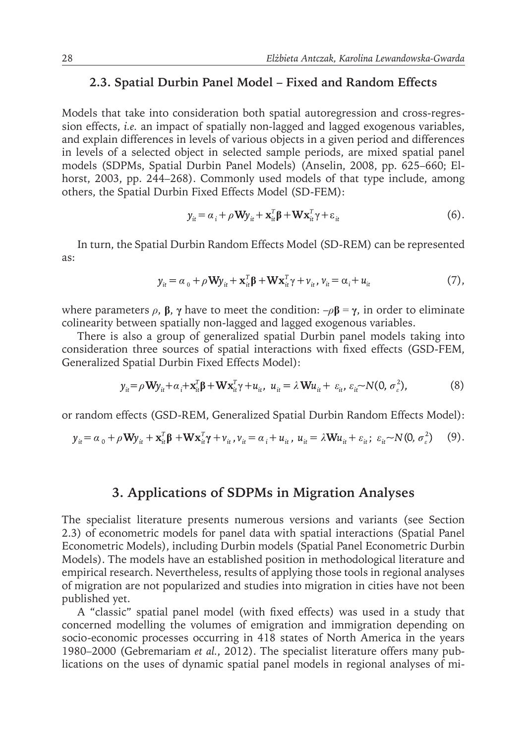## **2.3. Spatial Durbin Panel Model – Fixed and Random Effects**

Models that take into consideration both spatial autoregression and cross-regression effects, *i.e.* an impact of spatially non-lagged and lagged exogenous variables, and explain differences in levels of various objects in a given period and differences in levels of a selected object in selected sample periods, are mixed spatial panel models (SDPMs, Spatial Durbin Panel Models) (Anselin, 2008, pp. 625–660; Elhorst, 2003, pp. 244–268). Commonly used models of that type include, among others, the Spatial Durbin Fixed Effects Model (SD-FEM):

$$
y_{it} = \alpha_i + \rho \mathbf{W} y_{it} + \mathbf{x}_{it}^T \mathbf{\beta} + \mathbf{W} \mathbf{x}_{it}^T \gamma + \varepsilon_{it}
$$
 (6).

In turn, the Spatial Durbin Random Effects Model (SD-REM) can be represented as:

$$
y_{it} = \alpha_0 + \rho \mathbf{W} y_{it} + \mathbf{x}_{it}^T \mathbf{\beta} + \mathbf{W} \mathbf{x}_{it}^T \gamma + v_{it}, v_{it} = \alpha_i + u_{it}
$$
(7),

where parameters  $ρ$ ,  $β$ ,  $γ$  have to meet the condition:  $-ρβ = γ$ , in order to eliminate colinearity between spatially non-lagged and lagged exogenous variables.

There is also a group of generalized spatial Durbin panel models taking into consideration three sources of spatial interactions with fixed effects (GSD-FEM, Generalized Spatial Durbin Fixed Effects Model):

$$
y_{it} = \rho \mathbf{W} y_{it} + \alpha_i + \mathbf{x}_{it}^T \mathbf{\beta} + \mathbf{W} \mathbf{x}_{it}^T \gamma + u_{it}, \ u_{it} = \lambda \mathbf{W} u_{it} + \varepsilon_{it}, \ \varepsilon_{it} \sim N(0, \sigma_{\varepsilon}^2), \tag{8}
$$

or random effects (GSD-REM, Generalized Spatial Durbin Random Effects Model):

$$
y_{it} = \alpha_0 + \rho \mathbf{W} y_{it} + \mathbf{x}_{it}^T \mathbf{\beta} + \mathbf{W} \mathbf{x}_{it}^T \mathbf{\gamma} + v_{it}, v_{it} = \alpha_i + u_{it}, u_{it} = \lambda \mathbf{W} u_{it} + \varepsilon_{it}; \varepsilon_{it} \sim N(0, \sigma_{\varepsilon}^2)
$$
(9).

## **3. Applications of SDPMs in Migration Analyses**

The specialist literature presents numerous versions and variants (see Section 2.3) of econometric models for panel data with spatial interactions (Spatial Panel Econometric Models), including Durbin models (Spatial Panel Econometric Durbin Models). The models have an established position in methodological literature and empirical research. Nevertheless, results of applying those tools in regional analyses of migration are not popularized and studies into migration in cities have not been published yet.

A "classic" spatial panel model (with fixed effects) was used in a study that concerned modelling the volumes of emigration and immigration depending on socio-economic processes occurring in 418 states of North America in the years 1980–2000 (Gebremariam *et al.*, 2012). The specialist literature offers many publications on the uses of dynamic spatial panel models in regional analyses of mi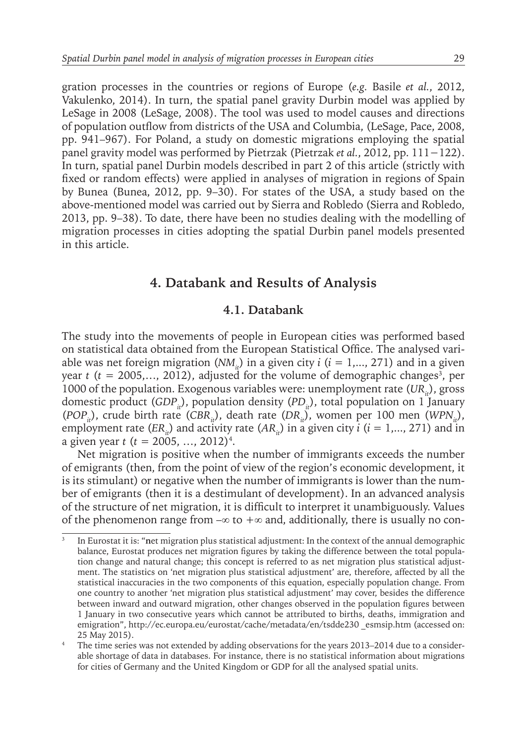gration processes in the countries or regions of Europe (*e.g.* Basile *et al.*, 2012, Vakulenko, 2014). In turn, the spatial panel gravity Durbin model was applied by LeSage in 2008 (LeSage, 2008). The tool was used to model causes and directions of population outflow from districts of the USA and Columbia, (LeSage, Pace, 2008, pp. 941–967). For Poland, a study on domestic migrations employing the spatial panel gravity model was performed by Pietrzak (Pietrzak *et al.*, 2012, pp. 111−122). In turn, spatial panel Durbin models described in part 2 of this article (strictly with fixed or random effects) were applied in analyses of migration in regions of Spain by Bunea (Bunea, 2012, pp. 9–30). For states of the USA, a study based on the above-mentioned model was carried out by Sierra and Robledo (Sierra and Robledo, 2013, pp. 9–38). To date, there have been no studies dealing with the modelling of migration processes in cities adopting the spatial Durbin panel models presented in this article.

## **4. Databank and Results of Analysis**

#### **4.1. Databank**

The study into the movements of people in European cities was performed based on statistical data obtained from the European Statistical Office. The analysed variable was net foreign migration (*NM<sub>ii</sub>*) in a given city  $i$  ( $i = 1,..., 271$ ) and in a given year *t* (*t* = 2005,..., 2012), adjusted for the volume of demographic changes<sup>3</sup>, per 1000 of the population. Exogenous variables were: unemployment rate (*UR*<sub>*a*</sub>), gross domestic product (*GDP<sub>ii</sub>*), population density (*PD<sub>ii</sub>*), total population on 1 January (*POP<sub>it</sub>*), crude birth rate (*CBR<sub>it</sub>*), death rate (*DR<sub>it</sub>*), women per 100 men (*WPN<sub>it</sub>*), employment rate (*ER<sub>ii</sub>*) and activity rate (*AR<sub>ii</sub>*) in a given city *i* ( $i = 1,..., 271$ ) and in a given year *t* (*t =* 2005, …, 2012)4 .

Net migration is positive when the number of immigrants exceeds the number of emigrants (then, from the point of view of the region's economic development, it is its stimulant) or negative when the number of immigrants is lower than the number of emigrants (then it is a destimulant of development). In an advanced analysis of the structure of net migration, it is difficult to interpret it unambiguously. Values of the phenomenon range from  $-\infty$  to  $+\infty$  and, additionally, there is usually no con-

<sup>3</sup> In Eurostat it is: "**n**et migration plus statistical adjustment: In the context of the annual demographic balance, Eurostat produces net migration figures by taking the difference between the total population change and natural change; this concept is referred to as net migration plus statistical adjustment. The statistics on 'net migration plus statistical adjustment' are, therefore, affected by all the statistical inaccuracies in the two components of this equation, especially population change. From one country to another 'net migration plus statistical adjustment' may cover, besides the difference between inward and outward migration, other changes observed in the population figures between 1 January in two consecutive years which cannot be attributed to births, deaths, immigration and emigration", http://ec.europa.eu/eurostat/cache/metadata/en/tsdde230 esmsip.htm (accessed on: 25 May 2015).

<sup>4</sup> The time series was not extended by adding observations for the years 2013–2014 due to a considerable shortage of data in databases. For instance, there is no statistical information about migrations for cities of Germany and the United Kingdom or GDP for all the analysed spatial units.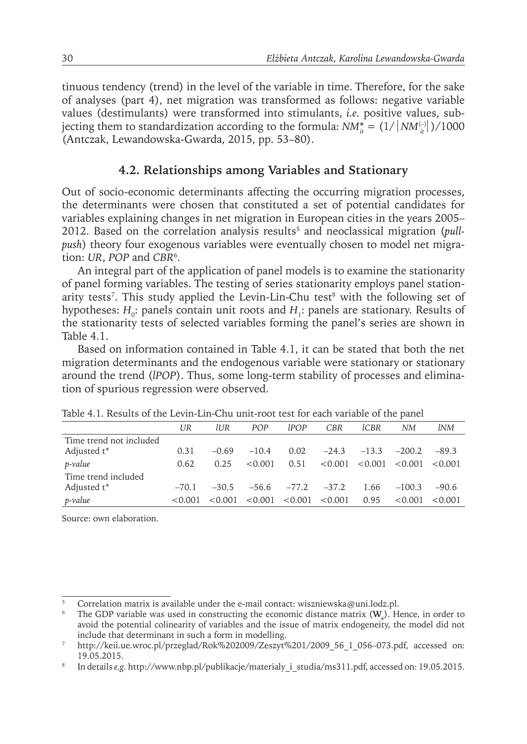tinuous tendency (trend) in the level of the variable in time. Therefore, for the sake of analyses (part 4), net migration was transformed as follows: negative variable values (destimulants) were transformed into stimulants, *i.e.* positive values, subjecting them to standardization according to the formula:  $NM_{it}^* = (1/|NM_{it}^{(-)}|)/1000$ (Antczak, Lewandowska-Gwarda, 2015, pp. 53–80).

#### **4.2. Relationships among Variables and Stationary**

Out of socio-economic determinants affecting the occurring migration processes, the determinants were chosen that constituted a set of potential candidates for variables explaining changes in net migration in European cities in the years 2005– 2012. Based on the correlation analysis results<sup>5</sup> and neoclassical migration (*pullpush*) theory four exogenous variables were eventually chosen to model net migration: *UR*, *POP* and *CBR*<sup>6</sup> .

An integral part of the application of panel models is to examine the stationarity of panel forming variables. The testing of series stationarity employs panel stationarity tests<sup>7</sup>. This study applied the Levin-Lin-Chu test<sup>8</sup> with the following set of hypotheses: *H*<sub>0</sub>: panels contain unit roots and *H*<sub>1</sub>: panels are stationary. Results of the stationarity tests of selected variables forming the panel's series are shown in Table 4.1.

Based on information contained in Table 4.1, it can be stated that both the net migration determinants and the endogenous variable were stationary or stationary around the trend (*lPOP*). Thus, some long-term stability of processes and elimination of spurious regression were observed.

|                         | UR      | lUR.    | POP     | <i>LPOP</i> | <b>CBR</b> | lCBR    | <b>NM</b> | lNM     |
|-------------------------|---------|---------|---------|-------------|------------|---------|-----------|---------|
| Time trend not included |         |         |         |             |            |         |           |         |
| Adjusted t*             | 0.31    | $-0.69$ | $-10.4$ | 0.02        | $-24.3$    | $-13.3$ | $-200.2$  | $-89.3$ |
| $p$ -value              | 0.62    | 0.25    | < 0.001 | 0.51        | < 0.001    | < 0.001 | < 0.001   | < 0.001 |
| Time trend included     |         |         |         |             |            |         |           |         |
| Adjusted t*             | $-70.1$ | $-30.5$ | $-56.6$ | $-77.2$     | $-37.2$    | 1.66    | $-100.3$  | $-90.6$ |
| p-value                 | < 0.001 | < 0.001 | < 0.001 | < 0.001     | < 0.001    | 0.95    | < 0.001   | < 0.001 |

Table 4.1. Results of the Levin-Lin-Chu unit-root test for each variable of the panel

Source: own elaboration.

<sup>5</sup> Correlation matrix is available under the e-mail contact: wiszniewska@uni.lodz.pl.

<sup>&</sup>lt;sup>6</sup> The GDP variable was used in constructing the economic distance matrix  $(\mathbf{W}_e)$ . Hence, in order to avoid the potential colinearity of variables and the issue of matrix endogeneity, the model did not include that determinant in such a form in modelling.

<sup>7</sup> http://keii.ue.wroc.pl/przeglad/Rok%202009/Zeszyt%201/2009\_56\_1\_056–073.pdf, accessed on: 19.05.2015.

<sup>&</sup>lt;sup>8</sup> In details *e.g.* http://www.nbp.pl/publikacje/materialy i studia/ms311.pdf, accessed on: 19.05.2015.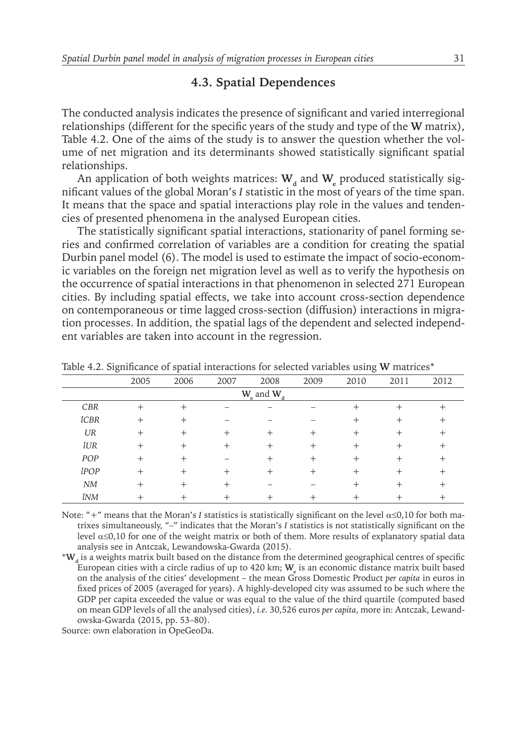#### **4.3. Spatial Dependences**

The conducted analysis indicates the presence of significant and varied interregional relationships (different for the specific years of the study and type of the **W** matrix), Table 4.2. One of the aims of the study is to answer the question whether the volume of net migration and its determinants showed statistically significant spatial relationships.

An application of both weights matrices:  $W_d$  and  $W_e$  produced statistically significant values of the global Moran's *I* statistic in the most of years of the time span. It means that the space and spatial interactions play role in the values and tendencies of presented phenomena in the analysed European cities.

The statistically significant spatial interactions, stationarity of panel forming series and confirmed correlation of variables are a condition for creating the spatial Durbin panel model (6). The model is used to estimate the impact of socio-economic variables on the foreign net migration level as well as to verify the hypothesis on the occurrence of spatial interactions in that phenomenon in selected 271 European cities. By including spatial effects, we take into account cross-section dependence on contemporaneous or time lagged cross-section (diffusion) interactions in migration processes. In addition, the spatial lags of the dependent and selected independent variables are taken into account in the regression.

|                 | 2005   | 2006 | 2007 | 2008 | 2009   | 2010 | 2011 | 2012 |
|-----------------|--------|------|------|------|--------|------|------|------|
| $W_e$ and $W_d$ |        |      |      |      |        |      |      |      |
| <b>CBR</b>      | $^{+}$ | $^+$ |      |      |        | $^+$ |      |      |
| <b>lCBR</b>     | $^{+}$ | $^+$ |      |      |        | $^+$ |      |      |
| UR              | $^+$   | $^+$ | $^+$ | $^+$ | $^+$   | $^+$ |      |      |
| lUR             | $^{+}$ | $^+$ | $^+$ | $^+$ | $^+$   | $^+$ | $^+$ |      |
| POP             | $^{+}$ | $^+$ |      | $^+$ | $^{+}$ | $^+$ | $^+$ |      |
| lPOP            | $^+$   | $^+$ | $^+$ | +    | $\pm$  | +    |      |      |
| NM              |        |      |      |      |        |      |      |      |
| <i>lNM</i>      |        |      |      |      |        |      |      |      |

Table 4.2. Significance of spatial interactions for selected variables using **W** matrices\*

Note: "+" means that the Moran's *I* statistics is statistically significant on the level  $\alpha$ ≤0,10 for both matrixes simultaneously, "–" indicates that the Moran's *I* statistics is not statistically significant on the level α≤0,10 for one of the weight matrix or both of them. More results of explanatory spatial data analysis see in Antczak, Lewandowska-Gwarda (2015).

\***Wd** is a weights matrix built based on the distance from the determined geographical centres of specific European cities with a circle radius of up to 420 km; **We** is an economic distance matrix built based on the analysis of the cities' development – the mean Gross Domestic Product *per capita* in euros in fixed prices of 2005 (averaged for years). A highly-developed city was assumed to be such where the GDP per capita exceeded the value or was equal to the value of the third quartile (computed based on mean GDP levels of all the analysed cities), *i.e.* 30,526 euros *per capita*, more in: Antczak, Lewandowska-Gwarda (2015, pp. 53–80).

Source: own elaboration in OpeGeoDa.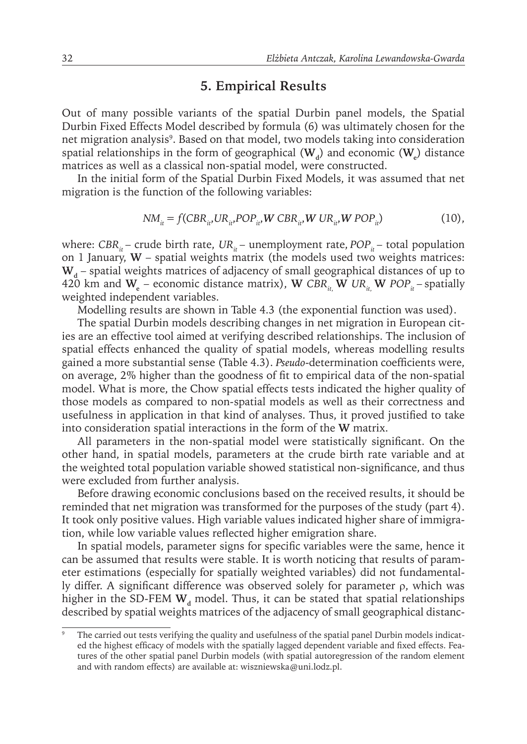## **5. Empirical Results**

Out of many possible variants of the spatial Durbin panel models, the Spatial Durbin Fixed Effects Model described by formula (6) was ultimately chosen for the net migration analysis<sup>9</sup>. Based on that model, two models taking into consideration spatial relationships in the form of geographical  $(W_d)$  and economic  $(W_e)$  distance matrices as well as a classical non-spatial model, were constructed.

In the initial form of the Spatial Durbin Fixed Models, it was assumed that net migration is the function of the following variables:

$$
NM_{it} = f(CBR_{it'}UR_{it'}POP_{it'} W CBR_{it'} W UR_{it'} W POP_{it'})
$$
\n(10),

where: *CBR<sub>it</sub>* – crude birth rate,  $UR_i$  – unemployment rate,  $POP_i$  – total population on 1 January, **W** – spatial weights matrix (the models used two weights matrices:  $W<sub>A</sub>$  – spatial weights matrices of adjacency of small geographical distances of up to 420 km and  $W_e$  – economic distance matrix),  $W$  *CBR*<sub>*it*</sub>,  $W$  *UR*<sub>*it*</sub>,  $W$  *POP*<sub>*it*</sub> – spatially weighted independent variables.

Modelling results are shown in Table 4.3 (the exponential function was used).

The spatial Durbin models describing changes in net migration in European cities are an effective tool aimed at verifying described relationships. The inclusion of spatial effects enhanced the quality of spatial models, whereas modelling results gained a more substantial sense (Table 4.3). *Pseudo*-determination coefficients were, on average, 2% higher than the goodness of fit to empirical data of the non-spatial model. What is more, the Chow spatial effects tests indicated the higher quality of those models as compared to non-spatial models as well as their correctness and usefulness in application in that kind of analyses. Thus, it proved justified to take into consideration spatial interactions in the form of the **W** matrix.

All parameters in the non-spatial model were statistically significant. On the other hand, in spatial models, parameters at the crude birth rate variable and at the weighted total population variable showed statistical non-significance, and thus were excluded from further analysis.

Before drawing economic conclusions based on the received results, it should be reminded that net migration was transformed for the purposes of the study (part 4). It took only positive values. High variable values indicated higher share of immigration, while low variable values reflected higher emigration share.

In spatial models, parameter signs for specific variables were the same, hence it can be assumed that results were stable. It is worth noticing that results of parameter estimations (especially for spatially weighted variables) did not fundamentally differ. A significant difference was observed solely for parameter ρ, which was higher in the SD-FEM W<sub>d</sub> model. Thus, it can be stated that spatial relationships described by spatial weights matrices of the adjacency of small geographical distanc-

The carried out tests verifying the quality and usefulness of the spatial panel Durbin models indicated the highest efficacy of models with the spatially lagged dependent variable and fixed effects. Features of the other spatial panel Durbin models (with spatial autoregression of the random element and with random effects) are available at: wiszniewska@uni.lodz.pl.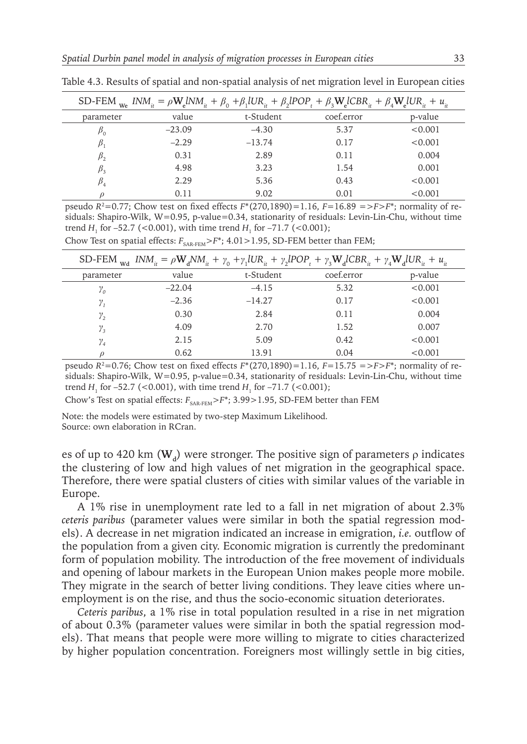|             |          | SD-FEM $_{\text{we}}$ INM <sub>it</sub> = $\rho \mathbf{W}_{e}$ INM <sub>it</sub> + $\beta_0$ + $\beta_1$ IUR <sub>it</sub> + $\beta_2$ IPOP <sub>t</sub> + $\beta_3 \mathbf{W}_{e}$ ICBR <sub>it</sub> + $\beta_4 \mathbf{W}_{e}$ IUR <sub>it</sub> + $u_{in}$ |            |         |
|-------------|----------|-----------------------------------------------------------------------------------------------------------------------------------------------------------------------------------------------------------------------------------------------------------------|------------|---------|
| parameter   | value    | t-Student                                                                                                                                                                                                                                                       | coef.error | p-value |
| $P_0$       | $-23.09$ | $-4.30$                                                                                                                                                                                                                                                         | 5.37       | < 0.001 |
|             | $-2.29$  | $-13.74$                                                                                                                                                                                                                                                        | 0.17       | < 0.001 |
| $\beta_{2}$ | 0.31     | 2.89                                                                                                                                                                                                                                                            | 0.11       | 0.004   |
|             | 4.98     | 3.23                                                                                                                                                                                                                                                            | 1.54       | 0.001   |
| $\beta_{4}$ | 2.29     | 5.36                                                                                                                                                                                                                                                            | 0.43       | < 0.001 |
|             | 0.11     | 9.02                                                                                                                                                                                                                                                            | 0.01       | < 0.001 |

Table 4.3. Results of spatial and non-spatial analysis of net migration level in European cities

pseudo  $R^2 = 0.77$ ; Chow test on fixed effects  $F^*(270,1890) = 1.16$ ,  $F = 16.89 = > F > F^*$ ; normality of residuals: Shapiro-Wilk, W=0.95, p-value=0.34, stationarity of residuals: Levin-Lin-Chu, without time trend  $H_1$  for  $-52.7$  (<0.001), with time trend  $H_1$  for  $-71.7$  (<0.001);

| SD-FEM $_{\text{wd}}$ INM <sub>it</sub> = $\rho \mathbf{W}_d N M_{it} + \gamma_0 + \gamma_1 U R_{it} + \gamma_2 I POP_t + \gamma_3 \mathbf{W}_d CBR_{it} + \gamma_4 \mathbf{W}_d U R_{it} + u_{it}$ |          |           |            |         |  |  |  |
|-----------------------------------------------------------------------------------------------------------------------------------------------------------------------------------------------------|----------|-----------|------------|---------|--|--|--|
| parameter                                                                                                                                                                                           | value    | t-Student | coef.error | p-value |  |  |  |
| $\gamma_{o}$                                                                                                                                                                                        | $-22.04$ | $-4.15$   | 5.32       | < 0.001 |  |  |  |
| $\gamma_{1}$                                                                                                                                                                                        | $-2.36$  | $-14.27$  | 0.17       | < 0.001 |  |  |  |
| $\gamma_{2}$                                                                                                                                                                                        | 0.30     | 2.84      | 0.11       | 0.004   |  |  |  |
| $\gamma_{3}$                                                                                                                                                                                        | 4.09     | 2.70      | 1.52       | 0.007   |  |  |  |
| $\mathcal{V}_4$                                                                                                                                                                                     | 2.15     | 5.09      | 0.42       | < 0.001 |  |  |  |
|                                                                                                                                                                                                     | 0.62     | 13.91     | 0.04       | < 0.001 |  |  |  |

Chow Test on spatial effects:  $F_{\text{SAR-FEM}}$  $> F^*$ ; 4.01 $>$  1.95, SD-FEM better than FEM;

pseudo  $R^2 = 0.76$ ; Chow test on fixed effects  $F^*(270,1890) = 1.16$ ,  $F = 15.75 = > F^*$ ; normality of residuals: Shapiro-Wilk, W=0.95, p-value=0.34, stationarity of residuals: Levin-Lin-Chu, without time trend  $H_1$  for  $-52.7$  (<0.001), with time trend  $H_1$  for  $-71.7$  (<0.001);

Chow's Test on spatial effects:  $F_{SAR-FEM}$  $> F^*$ ; 3.99 $> 1.95$ , SD-FEM better than FEM

Note: the models were estimated by two-step Maximum Likelihood. Source: own elaboration in RCran.

es of up to 420 km ( $W_d$ ) were stronger. The positive sign of parameters  $\rho$  indicates the clustering of low and high values of net migration in the geographical space. Therefore, there were spatial clusters of cities with similar values of the variable in Europe.

A 1% rise in unemployment rate led to a fall in net migration of about 2.3% *ceteris paribus* (parameter values were similar in both the spatial regression models). A decrease in net migration indicated an increase in emigration, *i.e.* outflow of the population from a given city. Economic migration is currently the predominant form of population mobility. The introduction of the free movement of individuals and opening of labour markets in the European Union makes people more mobile. They migrate in the search of better living conditions. They leave cities where unemployment is on the rise, and thus the socio-economic situation deteriorates.

*Ceteris paribus*, a 1% rise in total population resulted in a rise in net migration of about 0.3% (parameter values were similar in both the spatial regression models). That means that people were more willing to migrate to cities characterized by higher population concentration. Foreigners most willingly settle in big cities,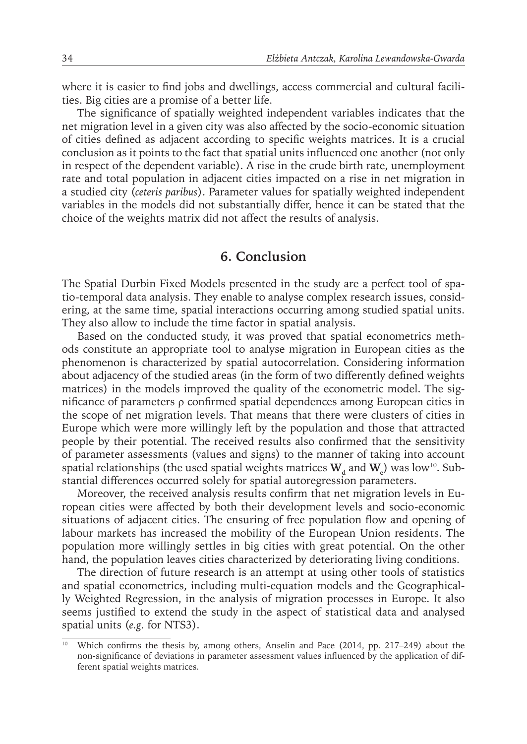where it is easier to find jobs and dwellings, access commercial and cultural facilities. Big cities are a promise of a better life.

The significance of spatially weighted independent variables indicates that the net migration level in a given city was also affected by the socio-economic situation of cities defined as adjacent according to specific weights matrices. It is a crucial conclusion as it points to the fact that spatial units influenced one another (not only in respect of the dependent variable). A rise in the crude birth rate, unemployment rate and total population in adjacent cities impacted on a rise in net migration in a studied city (*ceteris paribus*). Parameter values for spatially weighted independent variables in the models did not substantially differ, hence it can be stated that the choice of the weights matrix did not affect the results of analysis.

## **6. Conclusion**

The Spatial Durbin Fixed Models presented in the study are a perfect tool of spatio-temporal data analysis. They enable to analyse complex research issues, considering, at the same time, spatial interactions occurring among studied spatial units. They also allow to include the time factor in spatial analysis.

Based on the conducted study, it was proved that spatial econometrics methods constitute an appropriate tool to analyse migration in European cities as the phenomenon is characterized by spatial autocorrelation. Considering information about adjacency of the studied areas (in the form of two differently defined weights matrices) in the models improved the quality of the econometric model. The significance of parameters ρ confirmed spatial dependences among European cities in the scope of net migration levels. That means that there were clusters of cities in Europe which were more willingly left by the population and those that attracted people by their potential. The received results also confirmed that the sensitivity of parameter assessments (values and signs) to the manner of taking into account spatial relationships (the used spatial weights matrices  $\mathbf{W}_{_{\boldsymbol{d}}}$  and  $\mathbf{W}_{_{\boldsymbol{e}}})$  was low<sup>10</sup>. Substantial differences occurred solely for spatial autoregression parameters.

Moreover, the received analysis results confirm that net migration levels in European cities were affected by both their development levels and socio-economic situations of adjacent cities. The ensuring of free population flow and opening of labour markets has increased the mobility of the European Union residents. The population more willingly settles in big cities with great potential. On the other hand, the population leaves cities characterized by deteriorating living conditions.

The direction of future research is an attempt at using other tools of statistics and spatial econometrics, including multi-equation models and the Geographically Weighted Regression, in the analysis of migration processes in Europe. It also seems justified to extend the study in the aspect of statistical data and analysed spatial units (*e.g.* for NTS3).

Which confirms the thesis by, among others, Anselin and Pace (2014, pp. 217–249) about the non-significance of deviations in parameter assessment values influenced by the application of different spatial weights matrices.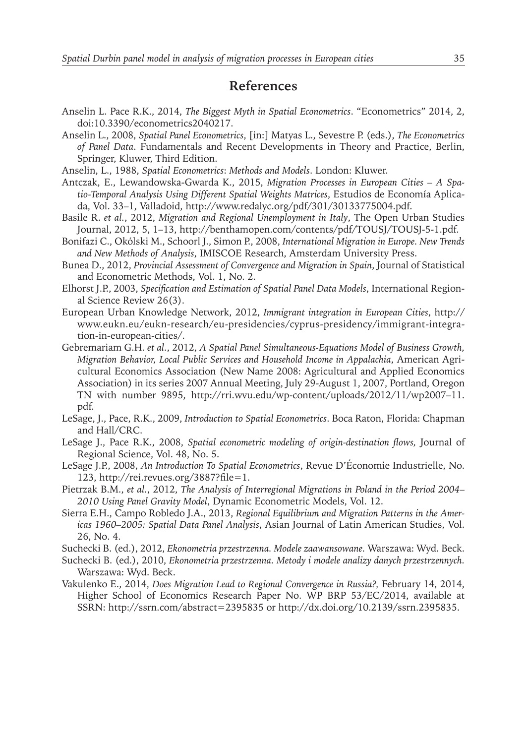#### **References**

- Anselin L. Pace R.K., 2014, *The Biggest Myth in Spatial Econometrics*. "Econometrics" 2014, 2, doi:10.3390/econometrics2040217.
- Anselin L., 2008, *Spatial Panel Econometrics*, [in:] Matyas L., Sevestre P. (eds.), *The Econometrics of Panel Data*. Fundamentals and Recent Developments in Theory and Practice, Berlin, Springer, Kluwer, Third Edition.
- Anselin, L., 1988, *Spatial Econometrics*: *Methods and Models*. London: Kluwer.
- Antczak, E., Lewandowska-Gwarda K., 2015, *Migration Processes in European Cities A Spatio-Temporal Analysis Using Different Spatial Weights Matrices*, Estudios de Economía Aplicada, Vol. 33–1, Valladoid, http://www.redalyc.org/pdf/301/30133775004.pdf.
- Basile R. *et al.*, 2012, *Migration and Regional Unemployment in Italy*, The Open Urban Studies Journal, 2012, 5, 1–13, http://benthamopen.com/contents/pdf/TOUSJ/TOUSJ-5-1.pdf.
- Bonifazi C., Okólski M., Schoorl J., Simon P., 2008, *International Migration in Europe. New Trends and New Methods of Analysis*, IMISCOE Research, Amsterdam University Press.
- Bunea D., 2012, *Provincial Assessment of Convergence and Migration in Spain*, Journal of Statistical and Econometric Methods, Vol. 1, No. 2.
- Elhorst J.P., 2003, *Specification and Estimation of Spatial Panel Data Models*, International Regional Science Review 26(3).
- European Urban Knowledge Network, 2012, *Immigrant integration in European Cities*, http:// www.eukn.eu/eukn-research/eu-presidencies/cyprus-presidency/immigrant-integration-in-european-cities/.
- Gebremariam G.H. *et al.*, 2012, *A Spatial Panel Simultaneous-Equations Model of Business Growth, Migration Behavior, Local Public Services and Household Income in Appalachia*, American Agricultural Economics Association (New Name 2008: Agricultural and Applied Economics Association) in its series 2007 Annual Meeting, July 29-August 1, 2007, Portland, Oregon TN with number 9895, http://rri.wvu.edu/wp-content/uploads/2012/11/wp2007–11. pdf.
- LeSage, J., Pace, R.K., 2009, *Introduction to Spatial Econometrics*. Boca Raton, Florida: Chapman and Hall/CRC.
- LeSage J., Pace R.K., 2008, *Spatial econometric modeling of origin-destination flows*, Journal of Regional Science, Vol. 48, No. 5.
- LeSage J.P., 2008, *An Introduction To Spatial Econometrics*, Revue D'Économie Industrielle, No. 123, http://rei.revues.org/3887?file=1.
- Pietrzak B.M., *et al.*, 2012, *The Analysis of Interregional Migrations in Poland in the Period 2004– 2010 Using Panel Gravity Model*, Dynamic Econometric Models, Vol. 12.
- Sierra E.H., Campo Robledo J.A., 2013, *Regional Equilibrium and Migration Patterns in the Americas 1960–2005: Spatial Data Panel Analysis*, Asian Journal of Latin American Studies, Vol. 26, No. 4.
- Suchecki B. (ed.), 2012, *Ekonometria przestrzenna. Modele zaawansowane.* Warszawa: Wyd. Beck.
- Suchecki B. (ed.), 2010, *Ekonometria przestrzenna. Metody i modele analizy danych przestrzennych.* Warszawa: Wyd. Beck.
- Vakulenko E., 2014, *Does Migration Lead to Regional Convergence in Russia?,* February 14, 2014, Higher School of Economics Research Paper No. WP BRP 53/EC/2014, available at SSRN: http://ssrn.com/abstract=2395835 or http://dx.doi.org/10.2139/ssrn.2395835.